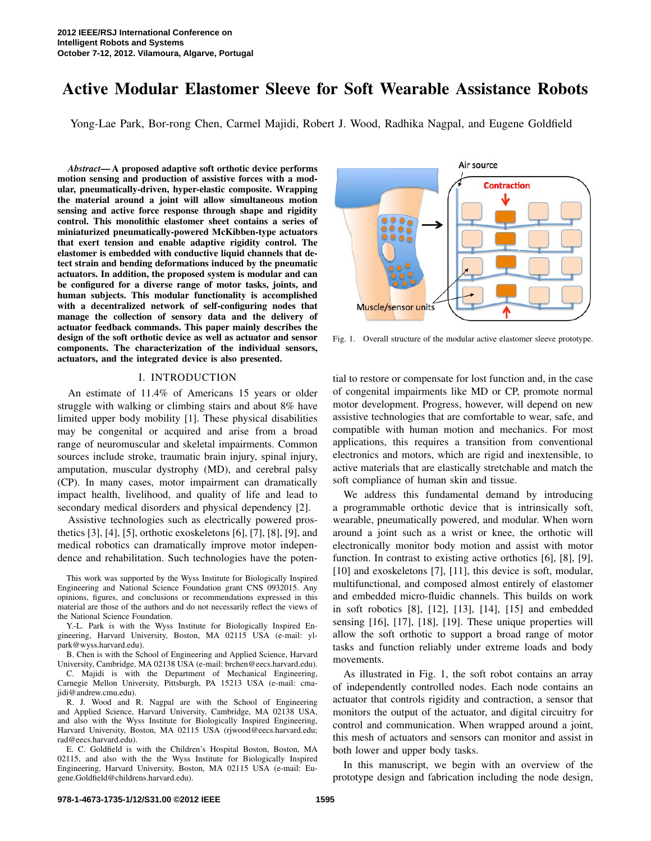# Active Modular Elastomer Sleeve for Soft Wearable Assistance Robots

Yong-Lae Park, Bor-rong Chen, Carmel Majidi, Robert J. Wood, Radhika Nagpal, and Eugene Goldfield

*Abstract*— A proposed adaptive soft orthotic device performs motion sensing and production of assistive forces with a modular, pneumatically-driven, hyper-elastic composite. Wrapping the material around a joint will allow simultaneous motion sensing and active force response through shape and rigidity control. This monolithic elastomer sheet contains a series of miniaturized pneumatically-powered McKibben-type actuators that exert tension and enable adaptive rigidity control. The elastomer is embedded with conductive liquid channels that detect strain and bending deformations induced by the pneumatic actuators. In addition, the proposed system is modular and can be configured for a diverse range of motor tasks, joints, and human subjects. This modular functionality is accomplished with a decentralized network of self-configuring nodes that manage the collection of sensory data and the delivery of actuator feedback commands. This paper mainly describes the design of the soft orthotic device as well as actuator and sensor components. The characterization of the individual sensors, actuators, and the integrated device is also presented.

#### I. INTRODUCTION

An estimate of 11.4% of Americans 15 years or older struggle with walking or climbing stairs and about 8% have limited upper body mobility [1]. These physical disabilities may be congenital or acquired and arise from a broad range of neuromuscular and skeletal impairments. Common sources include stroke, traumatic brain injury, spinal injury, amputation, muscular dystrophy (MD), and cerebral palsy (CP). In many cases, motor impairment can dramatically impact health, livelihood, and quality of life and lead to secondary medical disorders and physical dependency [2].

Assistive technologies such as electrically powered prosthetics [3], [4], [5], orthotic exoskeletons [6], [7], [8], [9], and medical robotics can dramatically improve motor independence and rehabilitation. Such technologies have the poten-

This work was supported by the Wyss Institute for Biologically Inspired Engineering and National Science Foundation grant CNS 0932015. Any opinions, figures, and conclusions or recommendations expressed in this material are those of the authors and do not necessarily reflect the views of the National Science Foundation.

Y.-L. Park is with the Wyss Institute for Biologically Inspired Engineering, Harvard University, Boston, MA 02115 USA (e-mail: ylpark@wyss.harvard.edu).

B. Chen is with the School of Engineering and Applied Science, Harvard University, Cambridge, MA 02138 USA (e-mail: brchen@eecs.harvard.edu).

C. Majidi is with the Department of Mechanical Engineering, Carnegie Mellon University, Pittsburgh, PA 15213 USA (e-mail: cmajidi@andrew.cmu.edu).

R. J. Wood and R. Nagpal are with the School of Engineering and Applied Science, Harvard University, Cambridge, MA 02138 USA, and also with the Wyss Institute for Biologically Inspired Engineering, Harvard University, Boston, MA 02115 USA (rjwood@eecs.harvard.edu; rad@eecs.harvard.edu).

E. C. Goldfield is with the Children's Hospital Boston, Boston, MA 02115, and also with the the Wyss Institute for Biologically Inspired Engineering, Harvard University, Boston, MA 02115 USA (e-mail: Eugene.Goldfield@childrens.harvard.edu).



Fig. 1. Overall structure of the modular active elastomer sleeve prototype.

tial to restore or compensate for lost function and, in the case of congenital impairments like MD or CP, promote normal motor development. Progress, however, will depend on new assistive technologies that are comfortable to wear, safe, and compatible with human motion and mechanics. For most applications, this requires a transition from conventional electronics and motors, which are rigid and inextensible, to active materials that are elastically stretchable and match the soft compliance of human skin and tissue.

We address this fundamental demand by introducing a programmable orthotic device that is intrinsically soft, wearable, pneumatically powered, and modular. When worn around a joint such as a wrist or knee, the orthotic will electronically monitor body motion and assist with motor function. In contrast to existing active orthotics [6], [8], [9], [10] and exoskeletons [7], [11], this device is soft, modular, multifunctional, and composed almost entirely of elastomer and embedded micro-fluidic channels. This builds on work in soft robotics [8], [12], [13], [14], [15] and embedded sensing [16], [17], [18], [19]. These unique properties will allow the soft orthotic to support a broad range of motor tasks and function reliably under extreme loads and body movements.

As illustrated in Fig. 1, the soft robot contains an array of independently controlled nodes. Each node contains an actuator that controls rigidity and contraction, a sensor that monitors the output of the actuator, and digital circuitry for control and communication. When wrapped around a joint, this mesh of actuators and sensors can monitor and assist in both lower and upper body tasks.

In this manuscript, we begin with an overview of the prototype design and fabrication including the node design,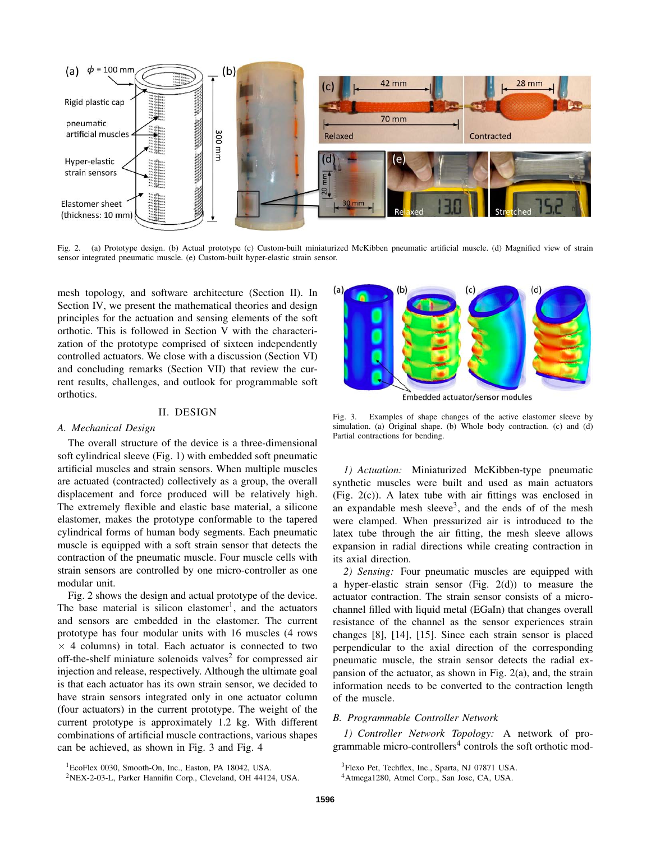

Fig. 2. (a) Prototype design. (b) Actual prototype (c) Custom-built miniaturized McKibben pneumatic artificial muscle. (d) Magnified view of strain sensor integrated pneumatic muscle. (e) Custom-built hyper-elastic strain sensor.

mesh topology, and software architecture (Section II). In Section IV, we present the mathematical theories and design principles for the actuation and sensing elements of the soft orthotic. This is followed in Section V with the characterization of the prototype comprised of sixteen independently controlled actuators. We close with a discussion (Section VI) and concluding remarks (Section VII) that review the current results, challenges, and outlook for programmable soft orthotics.

## II. DESIGN

## *A. Mechanical Design*

The overall structure of the device is a three-dimensional soft cylindrical sleeve (Fig. 1) with embedded soft pneumatic artificial muscles and strain sensors. When multiple muscles are actuated (contracted) collectively as a group, the overall displacement and force produced will be relatively high. The extremely flexible and elastic base material, a silicone elastomer, makes the prototype conformable to the tapered cylindrical forms of human body segments. Each pneumatic muscle is equipped with a soft strain sensor that detects the contraction of the pneumatic muscle. Four muscle cells with strain sensors are controlled by one micro-controller as one modular unit.

Fig. 2 shows the design and actual prototype of the device. The base material is silicon elastomer<sup>1</sup>, and the actuators and sensors are embedded in the elastomer. The current prototype has four modular units with 16 muscles (4 rows  $\times$  4 columns) in total. Each actuator is connected to two off-the-shelf miniature solenoids valves<sup>2</sup> for compressed air injection and release, respectively. Although the ultimate goal is that each actuator has its own strain sensor, we decided to have strain sensors integrated only in one actuator column (four actuators) in the current prototype. The weight of the current prototype is approximately 1.2 kg. With different combinations of artificial muscle contractions, various shapes can be achieved, as shown in Fig. 3 and Fig. 4



Embedded actuator/sensor modules

Fig. 3. Examples of shape changes of the active elastomer sleeve by simulation. (a) Original shape. (b) Whole body contraction. (c) and (d) Partial contractions for bending.

*1) Actuation:* Miniaturized McKibben-type pneumatic synthetic muscles were built and used as main actuators (Fig. 2(c)). A latex tube with air fittings was enclosed in an expandable mesh sleeve<sup>3</sup>, and the ends of of the mesh were clamped. When pressurized air is introduced to the latex tube through the air fitting, the mesh sleeve allows expansion in radial directions while creating contraction in its axial direction.

*2) Sensing:* Four pneumatic muscles are equipped with a hyper-elastic strain sensor (Fig. 2(d)) to measure the actuator contraction. The strain sensor consists of a microchannel filled with liquid metal (EGaIn) that changes overall resistance of the channel as the sensor experiences strain changes [8], [14], [15]. Since each strain sensor is placed perpendicular to the axial direction of the corresponding pneumatic muscle, the strain sensor detects the radial expansion of the actuator, as shown in Fig. 2(a), and, the strain information needs to be converted to the contraction length of the muscle.

# *B. Programmable Controller Network*

*1) Controller Network Topology:* A network of programmable micro-controllers<sup>4</sup> controls the soft orthotic mod-

<sup>&</sup>lt;sup>1</sup>EcoFlex 0030, Smooth-On, Inc., Easton, PA 18042, USA.

<sup>2</sup>NEX-2-03-L, Parker Hannifin Corp., Cleveland, OH 44124, USA.

<sup>3</sup>Flexo Pet, Techflex, Inc., Sparta, NJ 07871 USA.

<sup>4</sup>Atmega1280, Atmel Corp., San Jose, CA, USA.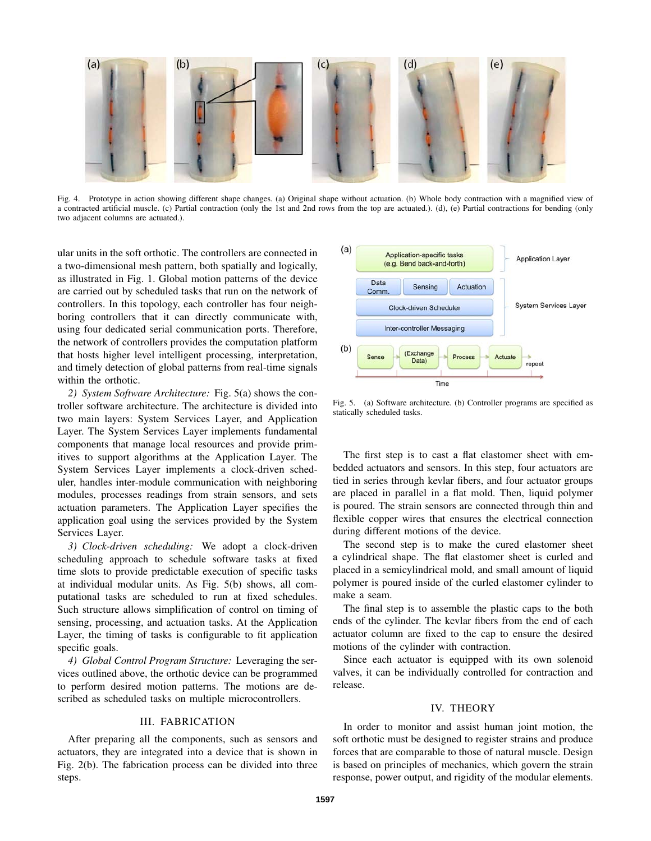

Fig. 4. Prototype in action showing different shape changes. (a) Original shape without actuation. (b) Whole body contraction with a magnified view of a contracted artificial muscle. (c) Partial contraction (only the 1st and 2nd rows from the top are actuated.). (d), (e) Partial contractions for bending (only two adjacent columns are actuated.).

ular units in the soft orthotic. The controllers are connected in a two-dimensional mesh pattern, both spatially and logically, as illustrated in Fig. 1. Global motion patterns of the device are carried out by scheduled tasks that run on the network of controllers. In this topology, each controller has four neighboring controllers that it can directly communicate with, using four dedicated serial communication ports. Therefore, the network of controllers provides the computation platform that hosts higher level intelligent processing, interpretation, and timely detection of global patterns from real-time signals within the orthotic.

*2) System Software Architecture:* Fig. 5(a) shows the controller software architecture. The architecture is divided into two main layers: System Services Layer, and Application Layer. The System Services Layer implements fundamental components that manage local resources and provide primitives to support algorithms at the Application Layer. The System Services Layer implements a clock-driven scheduler, handles inter-module communication with neighboring modules, processes readings from strain sensors, and sets actuation parameters. The Application Layer specifies the application goal using the services provided by the System Services Layer.

*3) Clock-driven scheduling:* We adopt a clock-driven scheduling approach to schedule software tasks at fixed time slots to provide predictable execution of specific tasks at individual modular units. As Fig. 5(b) shows, all computational tasks are scheduled to run at fixed schedules. Such structure allows simplification of control on timing of sensing, processing, and actuation tasks. At the Application Layer, the timing of tasks is configurable to fit application specific goals.

*4) Global Control Program Structure:* Leveraging the services outlined above, the orthotic device can be programmed to perform desired motion patterns. The motions are described as scheduled tasks on multiple microcontrollers.

#### III. FABRICATION

After preparing all the components, such as sensors and actuators, they are integrated into a device that is shown in Fig. 2(b). The fabrication process can be divided into three steps.



Fig. 5. (a) Software architecture. (b) Controller programs are specified as statically scheduled tasks.

The first step is to cast a flat elastomer sheet with embedded actuators and sensors. In this step, four actuators are tied in series through kevlar fibers, and four actuator groups are placed in parallel in a flat mold. Then, liquid polymer is poured. The strain sensors are connected through thin and flexible copper wires that ensures the electrical connection during different motions of the device.

The second step is to make the cured elastomer sheet a cylindrical shape. The flat elastomer sheet is curled and placed in a semicylindrical mold, and small amount of liquid polymer is poured inside of the curled elastomer cylinder to make a seam.

The final step is to assemble the plastic caps to the both ends of the cylinder. The kevlar fibers from the end of each actuator column are fixed to the cap to ensure the desired motions of the cylinder with contraction.

Since each actuator is equipped with its own solenoid valves, it can be individually controlled for contraction and release.

#### IV. THEORY

In order to monitor and assist human joint motion, the soft orthotic must be designed to register strains and produce forces that are comparable to those of natural muscle. Design is based on principles of mechanics, which govern the strain response, power output, and rigidity of the modular elements.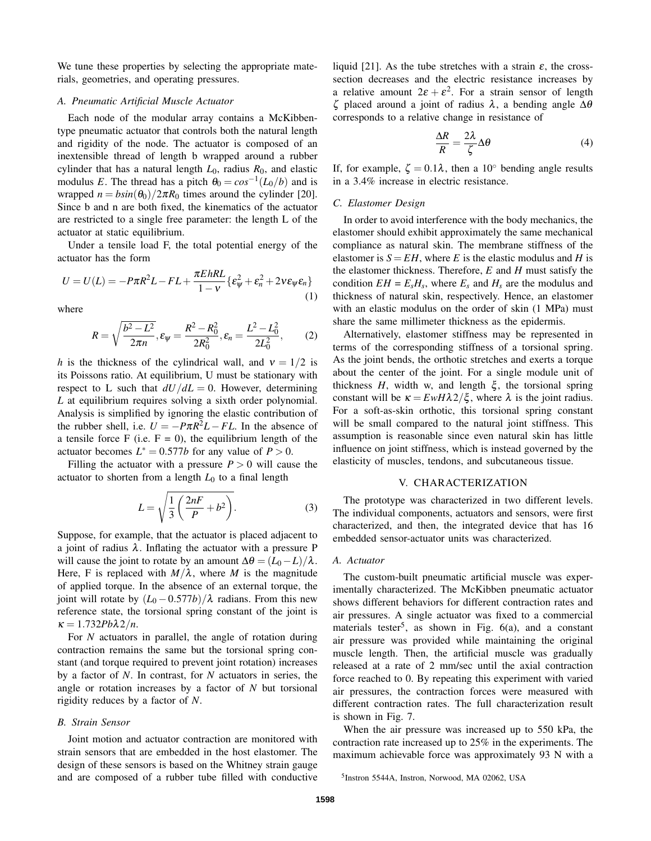We tune these properties by selecting the appropriate materials, geometries, and operating pressures.

## *A. Pneumatic Artificial Muscle Actuator*

Each node of the modular array contains a McKibbentype pneumatic actuator that controls both the natural length and rigidity of the node. The actuator is composed of an inextensible thread of length b wrapped around a rubber cylinder that has a natural length  $L_0$ , radius  $R_0$ , and elastic modulus *E*. The thread has a pitch  $\theta_0 = \cos^{-1}(L_0/b)$  and is wrapped  $n = b\sin(\theta_0)/2\pi R_0$  times around the cylinder [20]. Since b and n are both fixed, the kinematics of the actuator are restricted to a single free parameter: the length L of the actuator at static equilibrium.

Under a tensile load F, the total potential energy of the actuator has the form

$$
U = U(L) = -P\pi R^2 L - FL + \frac{\pi E h R L}{1 - v} \{ \varepsilon_{\psi}^2 + \varepsilon_n^2 + 2v \varepsilon_{\psi} \varepsilon_n \}
$$
\n(1)

where

$$
R = \sqrt{\frac{b^2 - L^2}{2\pi n}}, \varepsilon_{\psi} = \frac{R^2 - R_0^2}{2R_0^2}, \varepsilon_n = \frac{L^2 - L_0^2}{2L_0^2},
$$
 (2)

*h* is the thickness of the cylindrical wall, and  $v = 1/2$  is its Poissons ratio. At equilibrium, U must be stationary with respect to L such that  $dU/dL = 0$ . However, determining *L* at equilibrium requires solving a sixth order polynomial. Analysis is simplified by ignoring the elastic contribution of the rubber shell, i.e.  $U = -P\pi R^2 L - FL$ . In the absence of a tensile force F (i.e.  $F = 0$ ), the equilibrium length of the actuator becomes  $L^* = 0.577b$  for any value of  $P > 0$ .

Filling the actuator with a pressure  $P > 0$  will cause the actuator to shorten from a length  $L_0$  to a final length

$$
L = \sqrt{\frac{1}{3} \left( \frac{2nF}{P} + b^2 \right)}.
$$
 (3)

Suppose, for example, that the actuator is placed adjacent to a joint of radius  $\lambda$ . Inflating the actuator with a pressure P will cause the joint to rotate by an amount  $\Delta\theta = (L_0 - L)/\lambda$ . Here, F is replaced with  $M/\lambda$ , where M is the magnitude of applied torque. In the absence of an external torque, the joint will rotate by  $(L_0 - 0.577b)/\lambda$  radians. From this new reference state, the torsional spring constant of the joint is κ = 1.732*Pb*λ2/*n*.

For *N* actuators in parallel, the angle of rotation during contraction remains the same but the torsional spring constant (and torque required to prevent joint rotation) increases by a factor of *N*. In contrast, for *N* actuators in series, the angle or rotation increases by a factor of *N* but torsional rigidity reduces by a factor of *N*.

# *B. Strain Sensor*

Joint motion and actuator contraction are monitored with strain sensors that are embedded in the host elastomer. The design of these sensors is based on the Whitney strain gauge and are composed of a rubber tube filled with conductive liquid [21]. As the tube stretches with a strain  $\varepsilon$ , the crosssection decreases and the electric resistance increases by a relative amount  $2\varepsilon + \varepsilon^2$ . For a strain sensor of length ζ placed around a joint of radius λ, a bending angle ∆θ corresponds to a relative change in resistance of

$$
\frac{\Delta R}{R} = \frac{2\lambda}{\zeta} \Delta \theta \tag{4}
$$

If, for example,  $\zeta = 0.1\lambda$ , then a 10° bending angle results in a 3.4% increase in electric resistance.

#### *C. Elastomer Design*

In order to avoid interference with the body mechanics, the elastomer should exhibit approximately the same mechanical compliance as natural skin. The membrane stiffness of the elastomer is  $S = EH$ , where *E* is the elastic modulus and *H* is the elastomer thickness. Therefore, *E* and *H* must satisfy the condition  $EH = E_s H_s$ , where  $E_s$  and  $H_s$  are the modulus and thickness of natural skin, respectively. Hence, an elastomer with an elastic modulus on the order of skin (1 MPa) must share the same millimeter thickness as the epidermis.

Alternatively, elastomer stiffness may be represented in terms of the corresponding stiffness of a torsional spring. As the joint bends, the orthotic stretches and exerts a torque about the center of the joint. For a single module unit of thickness  $H$ , width w, and length  $\xi$ , the torsional spring constant will be  $\kappa = EwH\lambda/2/\xi$ , where  $\lambda$  is the joint radius. For a soft-as-skin orthotic, this torsional spring constant will be small compared to the natural joint stiffness. This assumption is reasonable since even natural skin has little influence on joint stiffness, which is instead governed by the elasticity of muscles, tendons, and subcutaneous tissue.

#### V. CHARACTERIZATION

The prototype was characterized in two different levels. The individual components, actuators and sensors, were first characterized, and then, the integrated device that has 16 embedded sensor-actuator units was characterized.

#### *A. Actuator*

The custom-built pneumatic artificial muscle was experimentally characterized. The McKibben pneumatic actuator shows different behaviors for different contraction rates and air pressures. A single actuator was fixed to a commercial materials tester<sup>5</sup>, as shown in Fig.  $6(a)$ , and a constant air pressure was provided while maintaining the original muscle length. Then, the artificial muscle was gradually released at a rate of 2 mm/sec until the axial contraction force reached to 0. By repeating this experiment with varied air pressures, the contraction forces were measured with different contraction rates. The full characterization result is shown in Fig. 7.

When the air pressure was increased up to 550 kPa, the contraction rate increased up to 25% in the experiments. The maximum achievable force was approximately 93 N with a

<sup>5</sup> Instron 5544A, Instron, Norwood, MA 02062, USA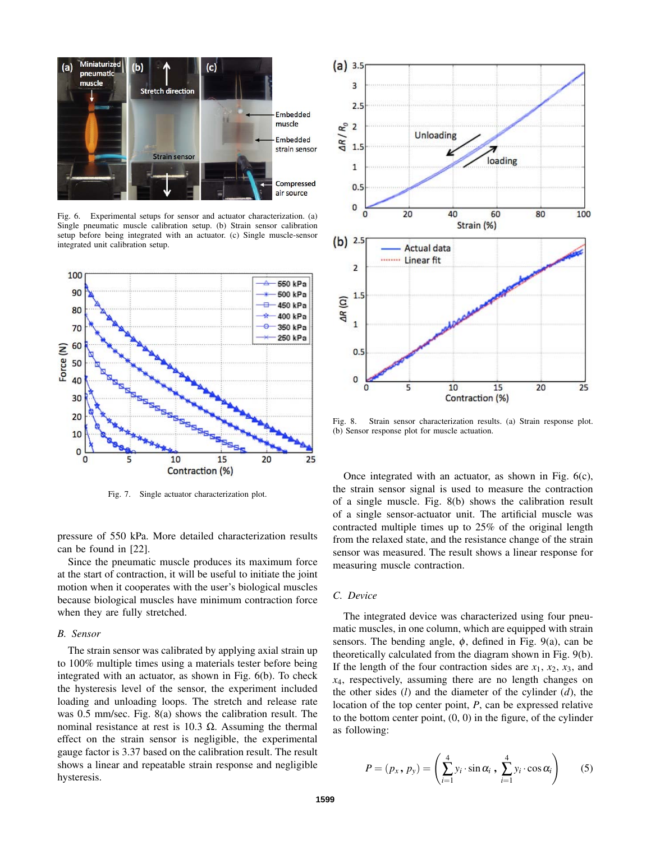

Fig. 6. Experimental setups for sensor and actuator characterization. (a) Single pneumatic muscle calibration setup. (b) Strain sensor calibration setup before being integrated with an actuator. (c) Single muscle-sensor integrated unit calibration setup.



Fig. 7. Single actuator characterization plot.

pressure of 550 kPa. More detailed characterization results can be found in [22].

Since the pneumatic muscle produces its maximum force at the start of contraction, it will be useful to initiate the joint motion when it cooperates with the user's biological muscles because biological muscles have minimum contraction force when they are fully stretched.

# *B. Sensor*

The strain sensor was calibrated by applying axial strain up to 100% multiple times using a materials tester before being integrated with an actuator, as shown in Fig. 6(b). To check the hysteresis level of the sensor, the experiment included loading and unloading loops. The stretch and release rate was 0.5 mm/sec. Fig. 8(a) shows the calibration result. The nominal resistance at rest is 10.3  $\Omega$ . Assuming the thermal effect on the strain sensor is negligible, the experimental gauge factor is 3.37 based on the calibration result. The result shows a linear and repeatable strain response and negligible hysteresis.



Fig. 8. Strain sensor characterization results. (a) Strain response plot. (b) Sensor response plot for muscle actuation.

Once integrated with an actuator, as shown in Fig. 6(c), the strain sensor signal is used to measure the contraction of a single muscle. Fig. 8(b) shows the calibration result of a single sensor-actuator unit. The artificial muscle was contracted multiple times up to 25% of the original length from the relaxed state, and the resistance change of the strain sensor was measured. The result shows a linear response for measuring muscle contraction.

# *C. Device*

The integrated device was characterized using four pneumatic muscles, in one column, which are equipped with strain sensors. The bending angle,  $\phi$ , defined in Fig. 9(a), can be theoretically calculated from the diagram shown in Fig. 9(b). If the length of the four contraction sides are  $x_1$ ,  $x_2$ ,  $x_3$ , and *x*4, respectively, assuming there are no length changes on the other sides (*l*) and the diameter of the cylinder (*d*), the location of the top center point, *P*, can be expressed relative to the bottom center point,  $(0, 0)$  in the figure, of the cylinder as following:

$$
P = (p_x, p_y) = \left(\sum_{i=1}^{4} y_i \cdot \sin \alpha_i, \sum_{i=1}^{4} y_i \cdot \cos \alpha_i\right) \qquad (5)
$$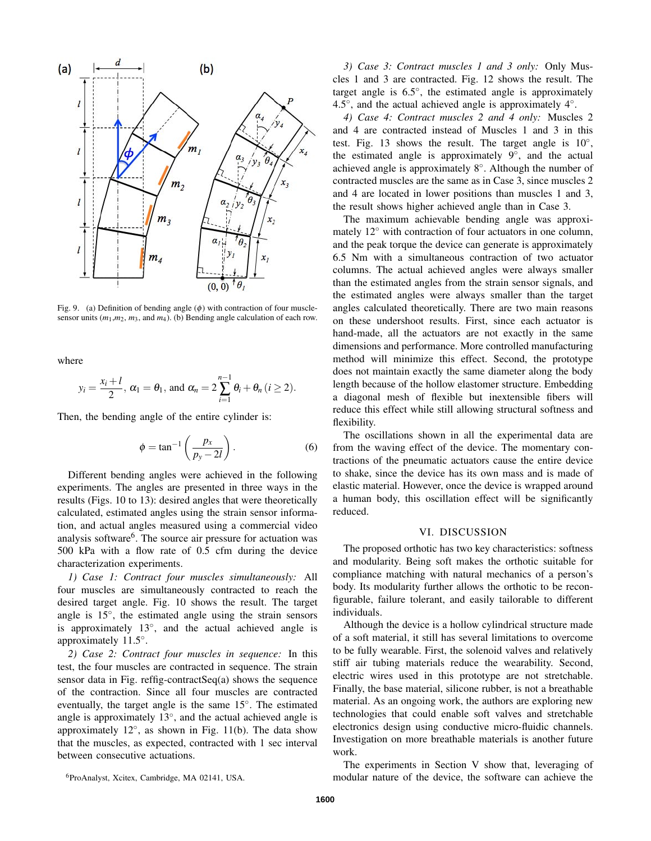

Fig. 9. (a) Definition of bending angle  $(\phi)$  with contraction of four musclesensor units (*m*1,*m*2, *m*3, and *m*4). (b) Bending angle calculation of each row.

where

$$
y_i = \frac{x_i + l}{2}
$$
,  $\alpha_1 = \theta_1$ , and  $\alpha_n = 2\sum_{i=1}^{n-1} \theta_i + \theta_n$   $(i \ge 2)$ .

Then, the bending angle of the entire cylinder is:

$$
\phi = \tan^{-1}\left(\frac{p_x}{p_y - 2l}\right). \tag{6}
$$

Different bending angles were achieved in the following experiments. The angles are presented in three ways in the results (Figs. 10 to 13): desired angles that were theoretically calculated, estimated angles using the strain sensor information, and actual angles measured using a commercial video analysis software<sup>6</sup>. The source air pressure for actuation was 500 kPa with a flow rate of 0.5 cfm during the device characterization experiments.

*1) Case 1: Contract four muscles simultaneously:* All four muscles are simultaneously contracted to reach the desired target angle. Fig. 10 shows the result. The target angle is 15°, the estimated angle using the strain sensors is approximately 13°, and the actual achieved angle is approximately 11.5◦ .

*2) Case 2: Contract four muscles in sequence:* In this test, the four muscles are contracted in sequence. The strain sensor data in Fig. reffig-contractSeq(a) shows the sequence of the contraction. Since all four muscles are contracted eventually, the target angle is the same 15°. The estimated angle is approximately  $13^\circ$ , and the actual achieved angle is approximately 12◦ , as shown in Fig. 11(b). The data show that the muscles, as expected, contracted with 1 sec interval between consecutive actuations.

*4) Case 4: Contract muscles 2 and 4 only:* Muscles 2 and 4 are contracted instead of Muscles 1 and 3 in this test. Fig. 13 shows the result. The target angle is  $10^\circ$ , the estimated angle is approximately 9°, and the actual achieved angle is approximately 8◦ . Although the number of contracted muscles are the same as in Case 3, since muscles 2 and 4 are located in lower positions than muscles 1 and 3, the result shows higher achieved angle than in Case 3.

The maximum achievable bending angle was approximately 12<sup>°</sup> with contraction of four actuators in one column, and the peak torque the device can generate is approximately 6.5 Nm with a simultaneous contraction of two actuator columns. The actual achieved angles were always smaller than the estimated angles from the strain sensor signals, and the estimated angles were always smaller than the target angles calculated theoretically. There are two main reasons on these undershoot results. First, since each actuator is hand-made, all the actuators are not exactly in the same dimensions and performance. More controlled manufacturing method will minimize this effect. Second, the prototype does not maintain exactly the same diameter along the body length because of the hollow elastomer structure. Embedding a diagonal mesh of flexible but inextensible fibers will reduce this effect while still allowing structural softness and flexibility.

The oscillations shown in all the experimental data are from the waving effect of the device. The momentary contractions of the pneumatic actuators cause the entire device to shake, since the device has its own mass and is made of elastic material. However, once the device is wrapped around a human body, this oscillation effect will be significantly reduced.

# VI. DISCUSSION

The proposed orthotic has two key characteristics: softness and modularity. Being soft makes the orthotic suitable for compliance matching with natural mechanics of a person's body. Its modularity further allows the orthotic to be reconfigurable, failure tolerant, and easily tailorable to different individuals.

Although the device is a hollow cylindrical structure made of a soft material, it still has several limitations to overcome to be fully wearable. First, the solenoid valves and relatively stiff air tubing materials reduce the wearability. Second, electric wires used in this prototype are not stretchable. Finally, the base material, silicone rubber, is not a breathable material. As an ongoing work, the authors are exploring new technologies that could enable soft valves and stretchable electronics design using conductive micro-fluidic channels. Investigation on more breathable materials is another future work.

The experiments in Section V show that, leveraging of modular nature of the device, the software can achieve the

*<sup>3)</sup> Case 3: Contract muscles 1 and 3 only:* Only Muscles 1 and 3 are contracted. Fig. 12 shows the result. The target angle is  $6.5^\circ$ , the estimated angle is approximately 4.5 $\degree$ , and the actual achieved angle is approximately  $4\degree$ .

<sup>6</sup>ProAnalyst, Xcitex, Cambridge, MA 02141, USA.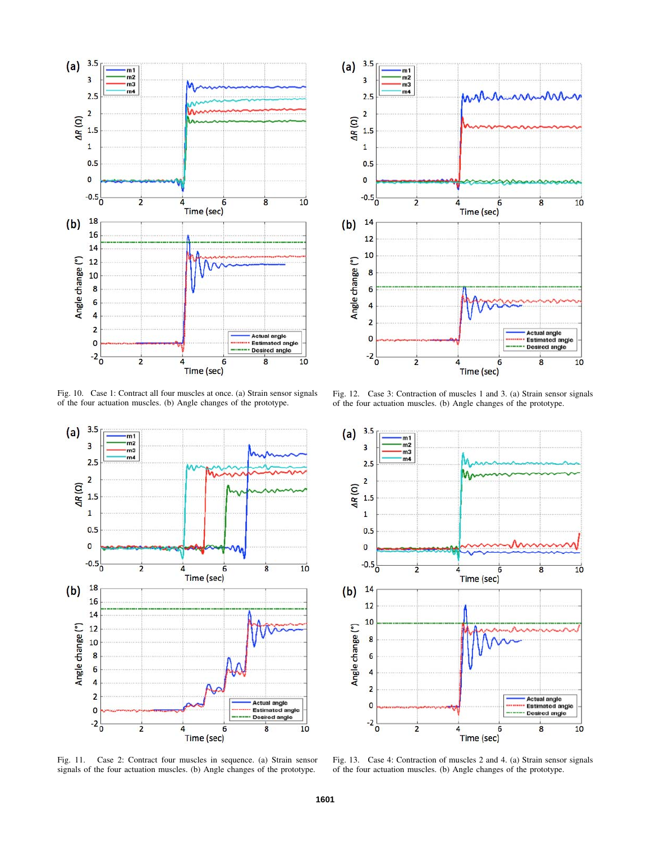

Fig. 10. Case 1: Contract all four muscles at once. (a) Strain sensor signals of the four actuation muscles. (b) Angle changes of the prototype.



Fig. 11. Case 2: Contract four muscles in sequence. (a) Strain sensor signals of the four actuation muscles. (b) Angle changes of the prototype.



Fig. 12. Case 3: Contraction of muscles 1 and 3. (a) Strain sensor signals of the four actuation muscles. (b) Angle changes of the prototype.



Fig. 13. Case 4: Contraction of muscles 2 and 4. (a) Strain sensor signals of the four actuation muscles. (b) Angle changes of the prototype.